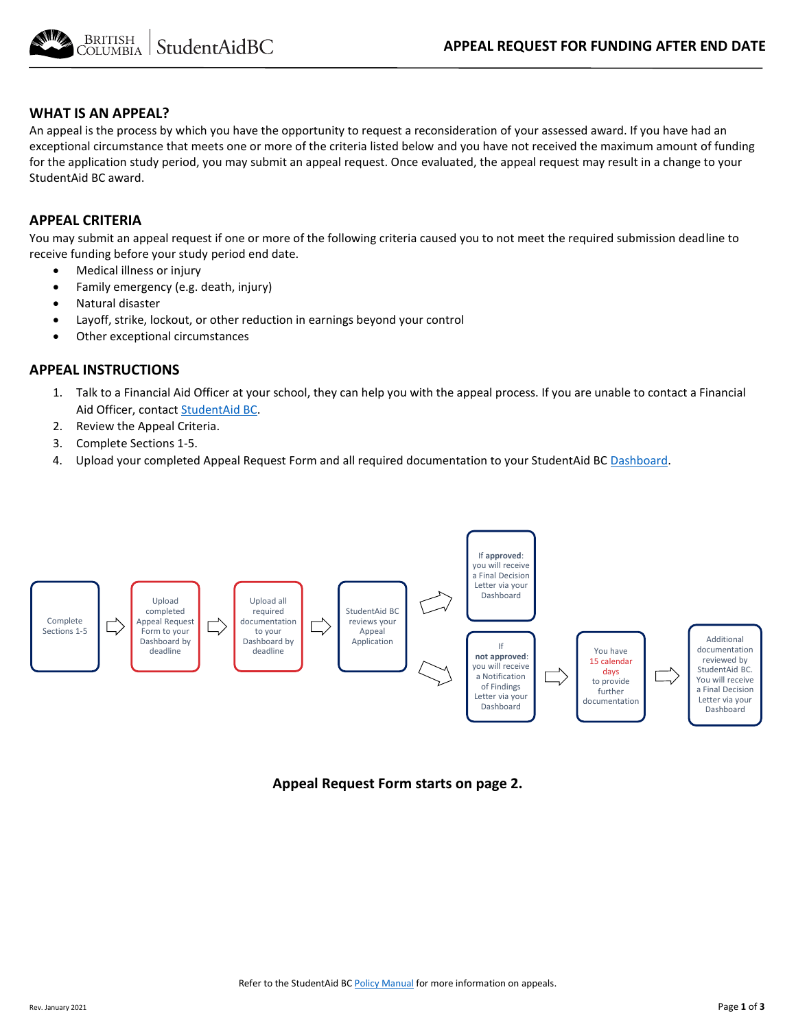

#### **WHAT IS AN APPEAL?**

An appeal is the process by which you have the opportunity to request a reconsideration of your assessed award. If you have had an exceptional circumstance that meets one or more of the criteria listed below and you have not received the maximum amount of funding for the application study period, you may submit an appeal request. Once evaluated, the appeal request may result in a change to your StudentAid BC award.

#### **APPEAL CRITERIA**

You may submit an appeal request if one or more of the following criteria caused you to not meet the required submission deadline to receive funding before your study period end date.

- Medical illness or injury
- Family emergency (e.g. death, injury)
- Natural disaster
- Layoff, strike, lockout, or other reduction in earnings beyond your control
- Other exceptional circumstances

#### **APPEAL INSTRUCTIONS**

- 1. Talk to a Financial Aid Officer at your school, they can help you with the appeal process. If you are unable to contact a Financial Aid Officer, contac[t StudentAid BC.](https://studentaidbc.ca/contact-information)
- 2. Review the Appeal Criteria.
- 3. Complete Sections 1-5.
- 4. Upload your completed Appeal Request Form and all required documentation to your StudentAid BC [Dashboard.](https://studentaidbc.ca/dashboard)



**Appeal Request Form starts on page 2.**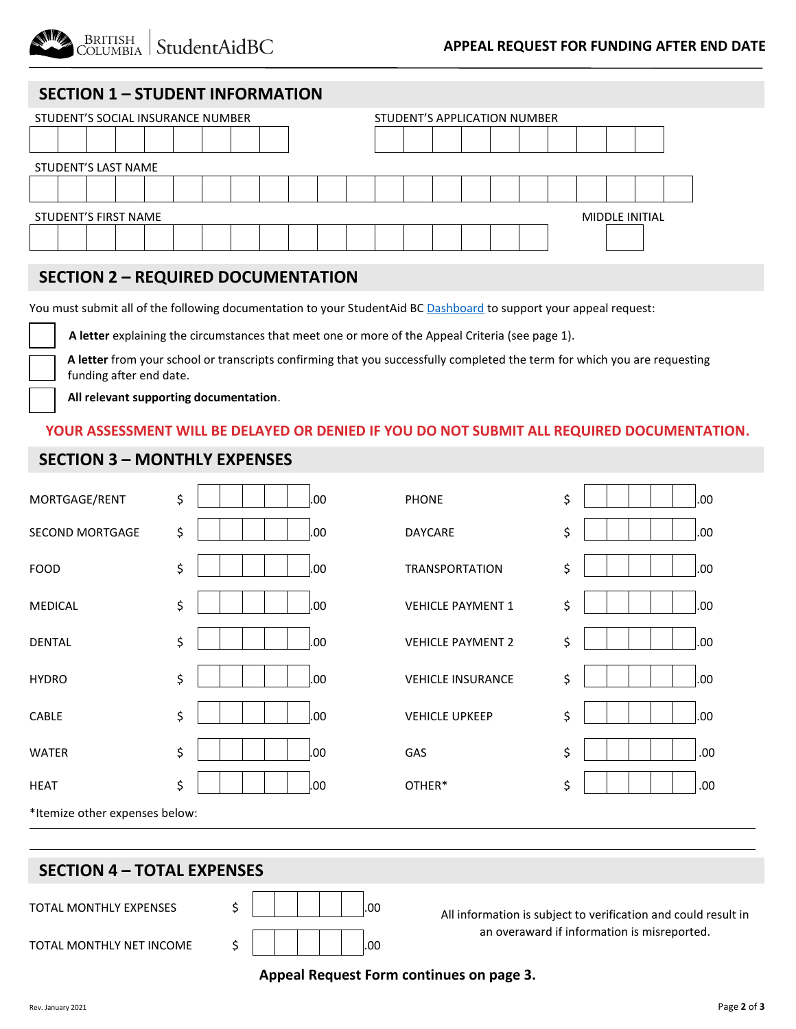

# **SECTION 1 – STUDENT INFORMATION**

| STUDENT'S SOCIAL INSURANCE NUMBER             |  |  |  |  |  |  |  | STUDENT'S APPLICATION NUMBER |  |  |  |  |  |  |  |  |  |  |  |
|-----------------------------------------------|--|--|--|--|--|--|--|------------------------------|--|--|--|--|--|--|--|--|--|--|--|
|                                               |  |  |  |  |  |  |  |                              |  |  |  |  |  |  |  |  |  |  |  |
| STUDENT'S LAST NAME                           |  |  |  |  |  |  |  |                              |  |  |  |  |  |  |  |  |  |  |  |
|                                               |  |  |  |  |  |  |  |                              |  |  |  |  |  |  |  |  |  |  |  |
| <b>STUDENT'S FIRST NAME</b><br>MIDDLE INITIAL |  |  |  |  |  |  |  |                              |  |  |  |  |  |  |  |  |  |  |  |
|                                               |  |  |  |  |  |  |  |                              |  |  |  |  |  |  |  |  |  |  |  |

## **SECTION 2 – REQUIRED DOCUMENTATION**

You must submit all of the following documentation to your StudentAid BC [Dashboard](https://studentaidbc.ca/dashboard) to support your appeal request:

**A letter** explaining the circumstances that meet one or more of the Appeal Criteria (see page 1).

**A letter** from your school or transcripts confirming that you successfully completed the term for which you are requesting funding after end date.

 **All relevant supporting documentation**. v

#### **YOUR ASSESSMENT WILL BE DELAYED OR DENIED IF YOU DO NOT SUBMIT ALL REQUIRED DOCUMENTATION.**

### **SECTION 3 – MONTHLY EXPENSES**

| MORTGAGE/RENT                                                                                         | \$ |    | .00 | <b>PHONE</b>                                | \$ | .00 |  |  |  |  |
|-------------------------------------------------------------------------------------------------------|----|----|-----|---------------------------------------------|----|-----|--|--|--|--|
| <b>SECOND MORTGAGE</b>                                                                                | \$ |    | .00 | <b>DAYCARE</b>                              | \$ | .00 |  |  |  |  |
| <b>FOOD</b>                                                                                           | \$ |    | .00 | <b>TRANSPORTATION</b>                       | \$ | .00 |  |  |  |  |
| <b>MEDICAL</b>                                                                                        | \$ |    | .00 | <b>VEHICLE PAYMENT 1</b>                    | \$ | .00 |  |  |  |  |
| <b>DENTAL</b>                                                                                         | \$ |    | .00 | <b>VEHICLE PAYMENT 2</b>                    | \$ | .00 |  |  |  |  |
| <b>HYDRO</b>                                                                                          | \$ |    | .00 | <b>VEHICLE INSURANCE</b>                    | \$ | .00 |  |  |  |  |
| CABLE                                                                                                 | \$ |    | .00 | <b>VEHICLE UPKEEP</b>                       | \$ | .00 |  |  |  |  |
| <b>WATER</b>                                                                                          | \$ |    | .00 | GAS                                         | \$ | .00 |  |  |  |  |
| <b>HEAT</b>                                                                                           | \$ |    | .00 | OTHER*                                      | \$ | .00 |  |  |  |  |
| *Itemize other expenses below:                                                                        |    |    |     |                                             |    |     |  |  |  |  |
|                                                                                                       |    |    |     |                                             |    |     |  |  |  |  |
| <b>SECTION 4 - TOTAL EXPENSES</b>                                                                     |    |    |     |                                             |    |     |  |  |  |  |
| \$<br>TOTAL MONTHLY EXPENSES<br>.00<br>All information is subject to verification and could result in |    |    |     |                                             |    |     |  |  |  |  |
| <b>TOTAL MONTHLY NET INCOME</b>                                                                       |    | \$ | .00 | an overaward if information is misreported. |    |     |  |  |  |  |

#### **Appeal Request Form continues on page 3.**